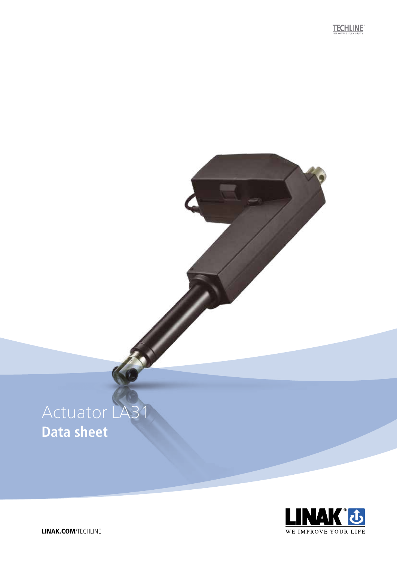**TECHLINE** 

# Actuator LA3 **Data sheet**



LINAK.COM/TECHLINE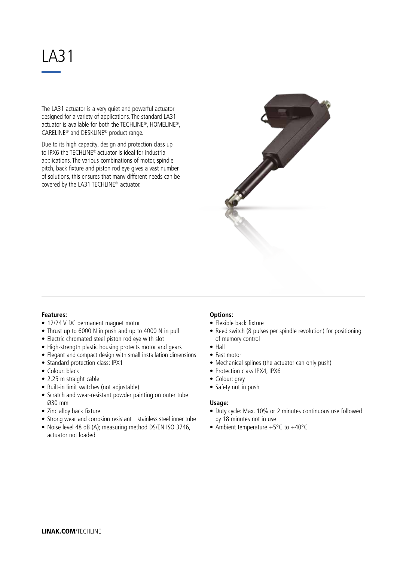## LA31

The LA31 actuator is a very quiet and powerful actuator designed for a variety of applications. The standard LA31 actuator is available for both the TECHLINE®, HOMELINE®, CARELINE® and DESKLINE® product range.

Due to its high capacity, design and protection class up to IPX6 the TECHLINE® actuator is ideal for industrial applications. The various combinations of motor, spindle pitch, back fixture and piston rod eye gives a vast number of solutions, this ensures that many different needs can be covered by the LA31 TECHLINE® actuator.

## **Features:**

- 12/24 V DC permanent magnet motor
- Thrust up to 6000 N in push and up to 4000 N in pull
- Electric chromated steel piston rod eye with slot
- High-strength plastic housing protects motor and gears
- Elegant and compact design with small installation dimensions
- Standard protection class: IPX1
- Colour: black
- 2.25 m straight cable
- Built-in limit switches (not adjustable)
- Scratch and wear-resistant powder painting on outer tube Ø30 mm
- Zinc alloy back fixture
- Strong wear and corrosion resistant stainless steel inner tube
- Noise level 48 dB (A); measuring method DS/EN ISO 3746, actuator not loaded

### **Options:**

- Flexible back fixture
- Reed switch (8 pulses per spindle revolution) for positioning of memory control
- Hall
- Fast motor
- Mechanical splines (the actuator can only push)
- Protection class IPX4, IPX6
- Colour: grey
- Safety nut in push

#### **Usage:**

- Duty cycle: Max. 10% or 2 minutes continuous use followed by 18 minutes not in use
- Ambient temperature +5°C to +40°C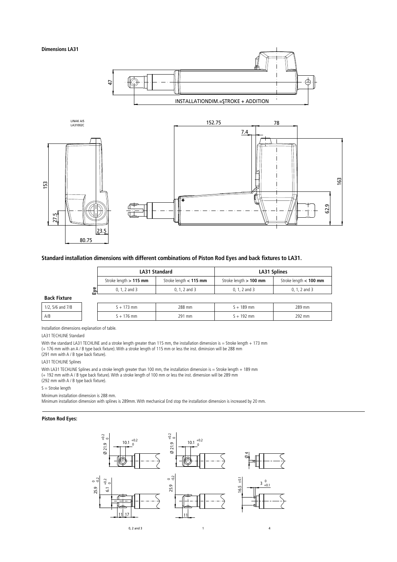

#### **Standard installation dimensions with different combinations of Piston Rod Eyes and back fixtures to LA31.**

|                     |   | LA31 Standard            |                          | LA31 Splines             |                          |  |
|---------------------|---|--------------------------|--------------------------|--------------------------|--------------------------|--|
|                     |   | Stroke length $> 115$ mm | Stroke length $< 115$ mm | Stroke length $> 100$ mm | Stroke length $< 100$ mm |  |
|                     | 웘 | $0, 1, 2$ and $3$        | $0, 1, 2$ and $3$        | $0, 1, 2$ and $3$        | $0, 1, 2,$ and 3         |  |
| <b>Back Fixture</b> |   |                          |                          |                          |                          |  |
| 1/2, 5/6 and 7/8    |   | $S + 173$ mm             | 288 mm                   | $S + 189$ mm             | 289 mm                   |  |
| A/B                 |   | $S + 176$ mm             | 291 mm                   | $S + 192$ mm             | 292 mm                   |  |

Installation dimensions explanation of table.

LA31 TECHLINE Standard

With the standard LA31 TECHLINE and a stroke length greater than 115 mm, the installation dimension is = Stroke length + 173 mm (+ 176 mm with an A / B type back fixture). With a stroke length of 115 mm or less the inst. diminsion will be 288 mm

(291 mm with A / B type back fixture).

LA31 TECHLINE Splines

With LA31 TECHLINE Splines and a stroke length greater than 100 mm, the installation dimension is = Stroke length + 189 mm (+ 192 mm with A / B type back fixture). With a stroke length of 100 mm or less the inst. dimension will be 289 mm (292 mm with A / B type back fixture).

 $S =$  Stroke length

Minimum installation dimension is 288 mm.

Minimum installation dimension with splines is 289mm. With mechanical End stop the installation dimension is increased by 20 mm.

#### **Piston Rod Eyes:**

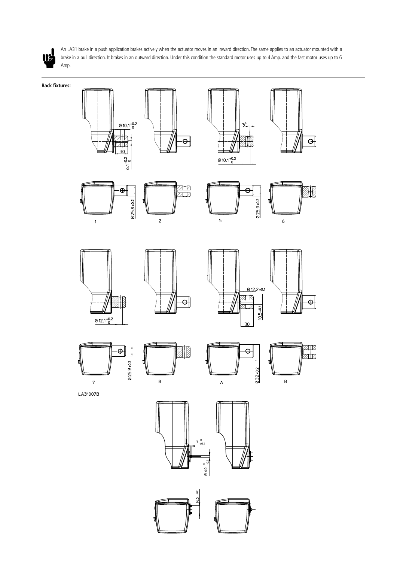

An LA31 brake in a push application brakes actively when the actuator moves in an inward direction. The same applies to an actuator mounted with a brake in a pull direction. It brakes in an outward direction. Under this condition the standard motor uses up to 4 Amp. and the fast motor uses up to 6 Amp.

**Back fixtures:**



 $\Theta$ 

 $0.25.9 + 0.2$ 



er<br>Alp









 $\mathbf{1}$ 



 $\overline{c}$ 













LA31007B



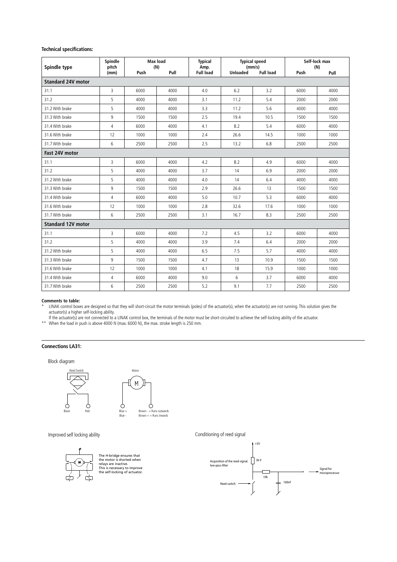#### **Technical specifications:**

| Spindle type              | Spindle<br>pitch | <b>Max load</b><br>(N) |      | <b>Typical</b><br>Amp. | <b>Typical speed</b><br>(mm/s) |                  | Self-lock max<br>(N) |      |
|---------------------------|------------------|------------------------|------|------------------------|--------------------------------|------------------|----------------------|------|
|                           | (mm)             | Push                   | Pull | <b>Full load</b>       | <b>Unloaded</b>                | <b>Full load</b> | Push                 | Pull |
| <b>Standard 24V motor</b> |                  |                        |      |                        |                                |                  |                      |      |
| 31.1                      | 3                | 6000                   | 4000 | 4.0                    | 6.2                            | 3.2              | 6000                 | 4000 |
| 31.2                      | 5                | 4000                   | 4000 | 3.1                    | 11.2                           | 5.4              | 2000                 | 2000 |
| 31.2 With brake           | 5                | 4000                   | 4000 | 3.3                    | 11.2                           | 5.6              | 4000                 | 4000 |
| 31.3 With brake           | 9                | 1500                   | 1500 | 2.5                    | 19.4                           | 10.5             | 1500                 | 1500 |
| 31.4 With brake           | 4                | 6000                   | 4000 | 4.1                    | 8.2                            | 5.4              | 6000                 | 4000 |
| 31.6 With brake           | 12               | 1000                   | 1000 | 2.4                    | 26.6                           | 14.5             | 1000                 | 1000 |
| 31.7 With brake           | 6                | 2500                   | 2500 | 2.5                    | 13.2                           | 6.8              | 2500                 | 2500 |
| Fast 24V motor            |                  |                        |      |                        |                                |                  |                      |      |
| 31.1                      | 3                | 6000                   | 4000 | 4.2                    | 8.2                            | 4.9              | 6000                 | 4000 |
| 31.2                      | 5                | 4000                   | 4000 | 3.7                    | 14                             | 6.9              | 2000                 | 2000 |
| 31.2 With brake           | 5                | 4000                   | 4000 | 4.0                    | 14                             | 6.4              | 4000                 | 4000 |
| 31.3 With brake           | 9                | 1500                   | 1500 | 2.9                    | 26.6                           | 13               | 1500                 | 1500 |
| 31.4 With brake           | $\overline{4}$   | 6000                   | 4000 | 5.0                    | 10.7                           | 5.3              | 6000                 | 4000 |
| 31.6 With brake           | 12               | 1000                   | 1000 | 2.8                    | 32.6                           | 17.6             | 1000                 | 1000 |
| 31.7 With brake           | 6                | 2500                   | 2500 | 3.1                    | 16.7                           | 8.3              | 2500                 | 2500 |
| <b>Standard 12V motor</b> |                  |                        |      |                        |                                |                  |                      |      |
| 31.1                      | 3                | 6000                   | 4000 | 7.2                    | 4.5                            | 3.2              | 6000                 | 4000 |
| 31.2                      | 5                | 4000                   | 4000 | 3.9                    | 7.4                            | 6.4              | 2000                 | 2000 |
| 31.2 With brake           | 5                | 4000                   | 4000 | 6.5                    | 7.5                            | 5.7              | 4000                 | 4000 |
| 31.3 With brake           | 9                | 1500                   | 1500 | 4.7                    | 13                             | 10.9             | 1500                 | 1500 |
| 31.6 With brake           | 12               | 1000                   | 1000 | 4.1                    | 18                             | 15.9             | 1000                 | 1000 |
| 31.4 With brake           | 4                | 6000                   | 4000 | 9.0                    | 6                              | 3.7              | 6000                 | 4000 |
| 31.7 With brake           | 6                | 2500                   | 2500 | 5.2                    | 9.1                            | 7.7              | 2500                 | 2500 |

#### **Comments to table:**

LINAK control boxes are designed so that they will short-circuit the motor terminals (poles) of the actuator(s), when the actuator(s) are not running. This solution gives the actuator(s) a higher self-locking ability.

If the actuator(s) are not connected to a LINAK control box, the terminals of the motor must be short-circuited to achieve the self-locking ability of the actuator.

\*\* When the load in push is above 4000 N (max. 6000 N), the max. stroke length is 250 mm.

#### **Connections LA31:**

Block diagram



Improved self locking ability **Conditioning** of reed signal



The H-bridge ensures that the motor is shorted when relays are inactive. This is necessary to improve the self-locking of actuator.

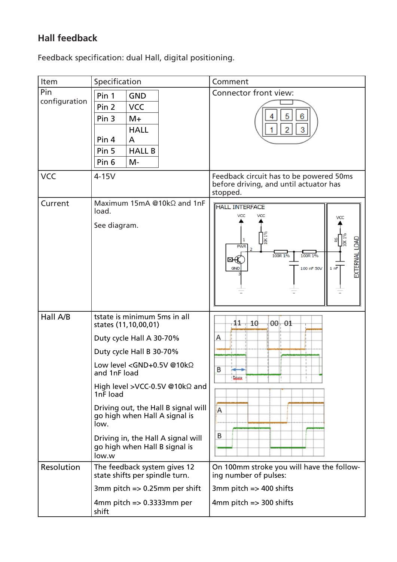## **Hall feedback**

Feedback specification: dual Hall, digital positioning.

| Item                 | Specification                                                                                                                                                                                                                                                                                                                                                                                                      | Comment                                                                                                                                                                               |
|----------------------|--------------------------------------------------------------------------------------------------------------------------------------------------------------------------------------------------------------------------------------------------------------------------------------------------------------------------------------------------------------------------------------------------------------------|---------------------------------------------------------------------------------------------------------------------------------------------------------------------------------------|
| Pin<br>configuration | Pin 1<br><b>GND</b><br><b>VCC</b><br>Pin <sub>2</sub><br>Pin <sub>3</sub><br>$M+$<br><b>HALL</b><br>Pin 4<br>A<br>Pin <sub>5</sub><br><b>HALL B</b><br>Pin <sub>6</sub><br>$M -$                                                                                                                                                                                                                                   | Connector front view:<br>6<br>2<br>3                                                                                                                                                  |
| <b>VCC</b>           | $4-15V$                                                                                                                                                                                                                                                                                                                                                                                                            | Feedback circuit has to be powered 50ms<br>before driving, and until actuator has<br>stopped.                                                                                         |
| Current              | Maximum 15mA @10kΩ and 1nF<br>load.<br>See diagram.                                                                                                                                                                                                                                                                                                                                                                | <b>HALL INTERFACE</b><br>VCC<br>VCC<br><b>VCC</b><br>$\frac{1}{2}$<br><b>JEE</b><br>EXTERNAL LOAD<br>8<br><b>PWR</b><br>100R 1%<br>100R 1%<br>⊠–K<br>100 nF 50V<br>1 nF<br><b>GND</b> |
| Hall A/B             | tstate is minimum 5ms in all<br>states (11,10,00,01)<br>Duty cycle Hall A 30-70%<br>Duty cycle Hall B 30-70%<br>Low level <gnd+0.5v @10kω<br="">and 1nF load<br/>High level &gt;VCC-0.5V @10k<math>\Omega</math> and<br/>1nF load<br/>Driving out, the Hall B signal will<br/>go high when Hall A signal is<br/>low.<br/>Driving in, the Hall A signal will<br/>go high when Hall B signal is<br/>low.w</gnd+0.5v> | $11 + 10$<br>$00 - 01$<br>Α<br>B<br>سند<br>A<br>B                                                                                                                                     |
| Resolution           | The feedback system gives 12<br>state shifts per spindle turn.<br>3mm pitch $\Rightarrow$ 0.25mm per shift<br>4mm pitch $\Rightarrow$ 0.3333mm per<br>shift                                                                                                                                                                                                                                                        | On 100mm stroke you will have the follow-<br>ing number of pulses:<br>3mm pitch $\Rightarrow$ 400 shifts<br>$4mm$ pitch $\Rightarrow$ 300 shifts                                      |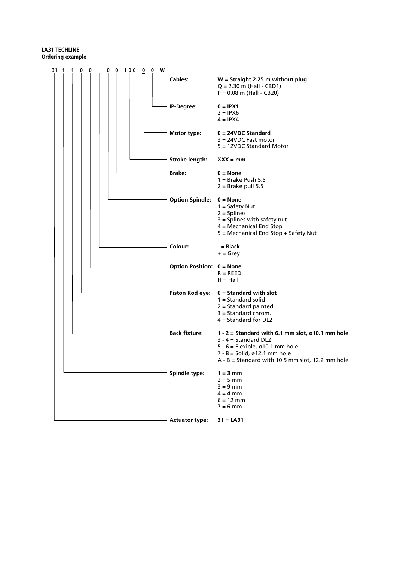### **LA31 TECHLINE Ordering example**

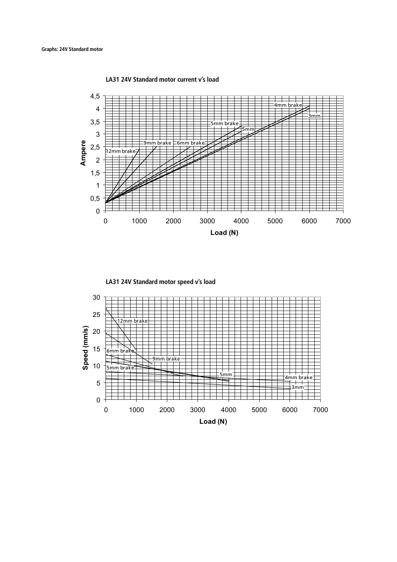**LA31 24V Standard motor current v's load**



**LA31 24V Standard motor speed v's load**

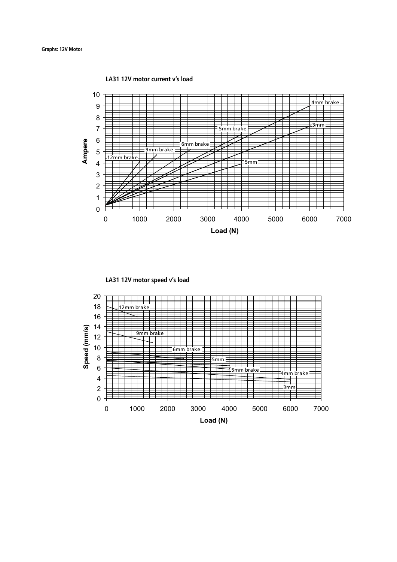**LA31 12V motor current v's load**





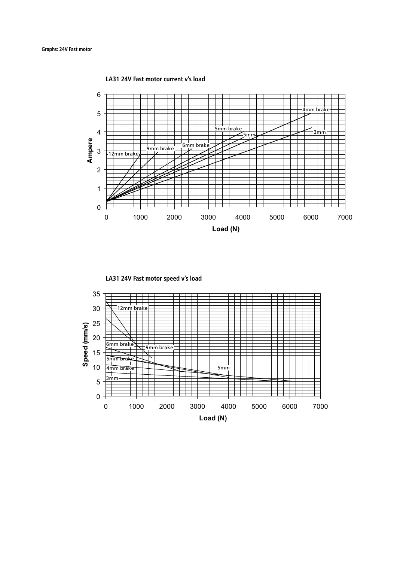**LA31 24V Fast motor current v's load**



**LA31 24V Fast motor speed v's load**